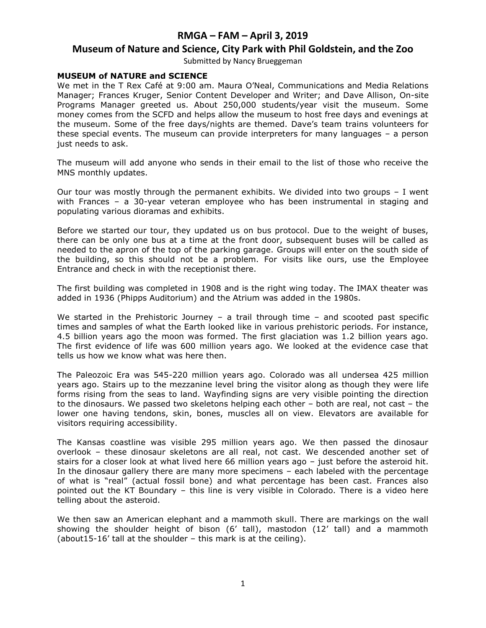### **Museum of Nature and Science, City Park with Phil Goldstein, and the Zoo**

Submitted by Nancy Brueggeman

### **MUSEUM of NATURE and SCIENCE**

We met in the T Rex Café at 9:00 am. Maura O'Neal, Communications and Media Relations Manager; Frances Kruger, Senior Content Developer and Writer; and Dave Allison, On-site Programs Manager greeted us. About 250,000 students/year visit the museum. Some money comes from the SCFD and helps allow the museum to host free days and evenings at the museum. Some of the free days/nights are themed. Dave's team trains volunteers for these special events. The museum can provide interpreters for many languages – a person just needs to ask.

The museum will add anyone who sends in their email to the list of those who receive the MNS monthly updates.

Our tour was mostly through the permanent exhibits. We divided into two groups – I went with Frances – a 30-year veteran employee who has been instrumental in staging and populating various dioramas and exhibits.

Before we started our tour, they updated us on bus protocol. Due to the weight of buses, there can be only one bus at a time at the front door, subsequent buses will be called as needed to the apron of the top of the parking garage. Groups will enter on the south side of the building, so this should not be a problem. For visits like ours, use the Employee Entrance and check in with the receptionist there.

The first building was completed in 1908 and is the right wing today. The IMAX theater was added in 1936 (Phipps Auditorium) and the Atrium was added in the 1980s.

We started in the Prehistoric Journey – a trail through time – and scooted past specific times and samples of what the Earth looked like in various prehistoric periods. For instance, 4.5 billion years ago the moon was formed. The first glaciation was 1.2 billion years ago. The first evidence of life was 600 million years ago. We looked at the evidence case that tells us how we know what was here then.

The Paleozoic Era was 545-220 million years ago. Colorado was all undersea 425 million years ago. Stairs up to the mezzanine level bring the visitor along as though they were life forms rising from the seas to land. Wayfinding signs are very visible pointing the direction to the dinosaurs. We passed two skeletons helping each other – both are real, not cast – the lower one having tendons, skin, bones, muscles all on view. Elevators are available for visitors requiring accessibility.

The Kansas coastline was visible 295 million years ago. We then passed the dinosaur overlook – these dinosaur skeletons are all real, not cast. We descended another set of stairs for a closer look at what lived here 66 million years ago – just before the asteroid hit. In the dinosaur gallery there are many more specimens – each labeled with the percentage of what is "real" (actual fossil bone) and what percentage has been cast. Frances also pointed out the KT Boundary – this line is very visible in Colorado. There is a video here telling about the asteroid.

We then saw an American elephant and a mammoth skull. There are markings on the wall showing the shoulder height of bison (6' tall), mastodon (12' tall) and a mammoth (about15-16' tall at the shoulder – this mark is at the ceiling).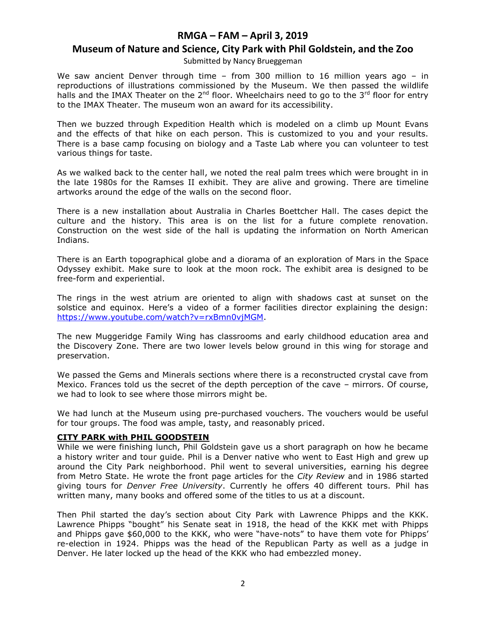## **Museum of Nature and Science, City Park with Phil Goldstein, and the Zoo**

Submitted by Nancy Brueggeman

We saw ancient Denver through time – from 300 million to 16 million years ago – in reproductions of illustrations commissioned by the Museum. We then passed the wildlife halls and the IMAX Theater on the  $2^{nd}$  floor. Wheelchairs need to go to the  $3^{rd}$  floor for entry to the IMAX Theater. The museum won an award for its accessibility.

Then we buzzed through Expedition Health which is modeled on a climb up Mount Evans and the effects of that hike on each person. This is customized to you and your results. There is a base camp focusing on biology and a Taste Lab where you can volunteer to test various things for taste.

As we walked back to the center hall, we noted the real palm trees which were brought in in the late 1980s for the Ramses II exhibit. They are alive and growing. There are timeline artworks around the edge of the walls on the second floor.

There is a new installation about Australia in Charles Boettcher Hall. The cases depict the culture and the history. This area is on the list for a future complete renovation. Construction on the west side of the hall is updating the information on North American Indians.

There is an Earth topographical globe and a diorama of an exploration of Mars in the Space Odyssey exhibit. Make sure to look at the moon rock. The exhibit area is designed to be free-form and experiential.

The rings in the west atrium are oriented to align with shadows cast at sunset on the solstice and equinox. Here's a video of a former facilities director explaining the design: [https://www.youtube.com/watch?v=rxBmn0vjMGM.](https://www.youtube.com/watch?v=rxBmn0vjMGM)

The new Muggeridge Family Wing has classrooms and early childhood education area and the Discovery Zone. There are two lower levels below ground in this wing for storage and preservation.

We passed the Gems and Minerals sections where there is a reconstructed crystal cave from Mexico. Frances told us the secret of the depth perception of the cave – mirrors. Of course, we had to look to see where those mirrors might be.

We had lunch at the Museum using pre-purchased vouchers. The vouchers would be useful for tour groups. The food was ample, tasty, and reasonably priced.

#### **CITY PARK with PHIL GOODSTEIN**

While we were finishing lunch, Phil Goldstein gave us a short paragraph on how he became a history writer and tour guide. Phil is a Denver native who went to East High and grew up around the City Park neighborhood. Phil went to several universities, earning his degree from Metro State. He wrote the front page articles for the *City Review* and in 1986 started giving tours for *Denver Free University*. Currently he offers 40 different tours. Phil has written many, many books and offered some of the titles to us at a discount.

Then Phil started the day's section about City Park with Lawrence Phipps and the KKK. Lawrence Phipps "bought" his Senate seat in 1918, the head of the KKK met with Phipps and Phipps gave \$60,000 to the KKK, who were "have-nots" to have them vote for Phipps' re-election in 1924. Phipps was the head of the Republican Party as well as a judge in Denver. He later locked up the head of the KKK who had embezzled money.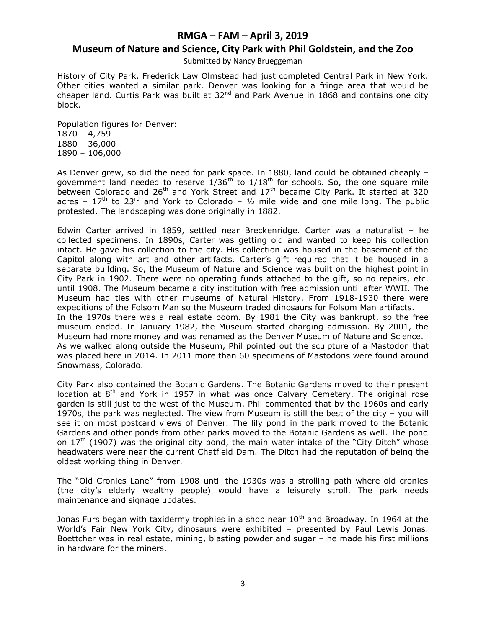## **Museum of Nature and Science, City Park with Phil Goldstein, and the Zoo**

Submitted by Nancy Brueggeman

History of City Park. Frederick Law Olmstead had just completed Central Park in New York. Other cities wanted a similar park. Denver was looking for a fringe area that would be cheaper land. Curtis Park was built at  $32<sup>nd</sup>$  and Park Avenue in 1868 and contains one city block.

Population figures for Denver: 1870 – 4,759 1880 – 36,000 1890 – 106,000

As Denver grew, so did the need for park space. In 1880, land could be obtained cheaply – government land needed to reserve  $1/36<sup>th</sup>$  to  $1/18<sup>th</sup>$  for schools. So, the one square mile between Colorado and 26<sup>th</sup> and York Street and 17<sup>th</sup> became City Park. It started at 320 acres –  $17<sup>th</sup>$  to  $23<sup>rd</sup>$  and York to Colorado –  $\frac{1}{2}$  mile wide and one mile long. The public protested. The landscaping was done originally in 1882.

Edwin Carter arrived in 1859, settled near Breckenridge. Carter was a naturalist – he collected specimens. In 1890s, Carter was getting old and wanted to keep his collection intact. He gave his collection to the city. His collection was housed in the basement of the Capitol along with art and other artifacts. Carter's gift required that it be housed in a separate building. So, the Museum of Nature and Science was built on the highest point in City Park in 1902. There were no operating funds attached to the gift, so no repairs, etc. until 1908. The Museum became a city institution with free admission until after WWII. The Museum had ties with other museums of Natural History. From 1918-1930 there were expeditions of the Folsom Man so the Museum traded dinosaurs for Folsom Man artifacts. In the 1970s there was a real estate boom. By 1981 the City was bankrupt, so the free museum ended. In January 1982, the Museum started charging admission. By 2001, the Museum had more money and was renamed as the Denver Museum of Nature and Science. As we walked along outside the Museum, Phil pointed out the sculpture of a Mastodon that was placed here in 2014. In 2011 more than 60 specimens of Mastodons were found around Snowmass, Colorado.

City Park also contained the Botanic Gardens. The Botanic Gardens moved to their present location at  $8<sup>th</sup>$  and York in 1957 in what was once Calvary Cemetery. The original rose garden is still just to the west of the Museum. Phil commented that by the 1960s and early 1970s, the park was neglected. The view from Museum is still the best of the city – you will see it on most postcard views of Denver. The lily pond in the park moved to the Botanic Gardens and other ponds from other parks moved to the Botanic Gardens as well. The pond on  $17<sup>th</sup>$  (1907) was the original city pond, the main water intake of the "City Ditch" whose headwaters were near the current Chatfield Dam. The Ditch had the reputation of being the oldest working thing in Denver.

The "Old Cronies Lane" from 1908 until the 1930s was a strolling path where old cronies (the city's elderly wealthy people) would have a leisurely stroll. The park needs maintenance and signage updates.

Jonas Furs began with taxidermy trophies in a shop near  $10<sup>th</sup>$  and Broadway. In 1964 at the World's Fair New York City, dinosaurs were exhibited – presented by Paul Lewis Jonas. Boettcher was in real estate, mining, blasting powder and sugar – he made his first millions in hardware for the miners.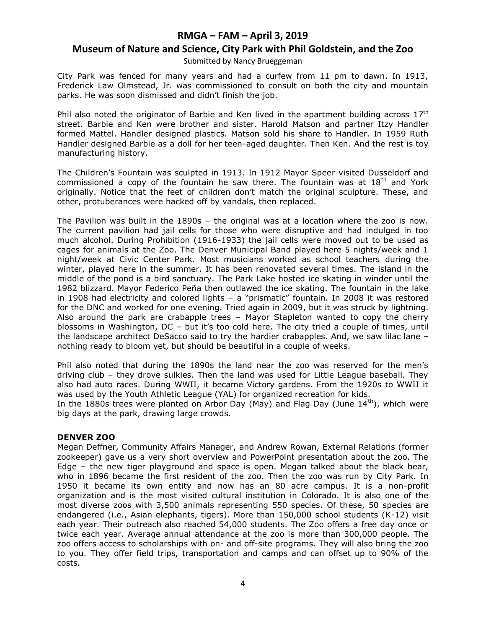## **Museum of Nature and Science, City Park with Phil Goldstein, and the Zoo**

Submitted by Nancy Brueggeman

City Park was fenced for many years and had a curfew from 11 pm to dawn. In 1913, Frederick Law Olmstead, Jr. was commissioned to consult on both the city and mountain parks. He was soon dismissed and didn't finish the job.

Phil also noted the originator of Barbie and Ken lived in the apartment building across  $17<sup>th</sup>$ street. Barbie and Ken were brother and sister. Harold Matson and partner Itzy Handler formed Mattel. Handler designed plastics. Matson sold his share to Handler. In 1959 Ruth Handler designed Barbie as a doll for her teen-aged daughter. Then Ken. And the rest is toy manufacturing history.

The Children's Fountain was sculpted in 1913. In 1912 Mayor Speer visited Dusseldorf and commissioned a copy of the fountain he saw there. The fountain was at  $18<sup>th</sup>$  and York originally. Notice that the feet of children don't match the original sculpture. These, and other, protuberances were hacked off by vandals, then replaced.

The Pavilion was built in the 1890s – the original was at a location where the zoo is now. The current pavilion had jail cells for those who were disruptive and had indulged in too much alcohol. During Prohibition (1916-1933) the jail cells were moved out to be used as cages for animals at the Zoo. The Denver Municipal Band played here 5 nights/week and 1 night/week at Civic Center Park. Most musicians worked as school teachers during the winter, played here in the summer. It has been renovated several times. The island in the middle of the pond is a bird sanctuary. The Park Lake hosted ice skating in winder until the 1982 blizzard. Mayor Federico Peña then outlawed the ice skating. The fountain in the lake in 1908 had electricity and colored lights – a "prismatic" fountain. In 2008 it was restored for the DNC and worked for one evening. Tried again in 2009, but it was struck by lightning. Also around the park are crabapple trees – Mayor Stapleton wanted to copy the cherry blossoms in Washington, DC – but it's too cold here. The city tried a couple of times, until the landscape architect DeSacco said to try the hardier crabapples. And, we saw lilac lane – nothing ready to bloom yet, but should be beautiful in a couple of weeks.

Phil also noted that during the 1890s the land near the zoo was reserved for the men's driving club – they drove sulkies. Then the land was used for Little League baseball. They also had auto races. During WWII, it became Victory gardens. From the 1920s to WWII it was used by the Youth Athletic League (YAL) for organized recreation for kids.

In the 1880s trees were planted on Arbor Day (May) and Flag Day (June  $14<sup>th</sup>$ ), which were big days at the park, drawing large crowds.

### **DENVER ZOO**

Megan Deffner, Community Affairs Manager, and Andrew Rowan, External Relations (former zookeeper) gave us a very short overview and PowerPoint presentation about the zoo. The Edge – the new tiger playground and space is open. Megan talked about the black bear, who in 1896 became the first resident of the zoo. Then the zoo was run by City Park. In 1950 it became its own entity and now has an 80 acre campus. It is a non-profit organization and is the most visited cultural institution in Colorado. It is also one of the most diverse zoos with 3,500 animals representing 550 species. Of these, 50 species are endangered (i.e., Asian elephants, tigers). More than 150,000 school students (K-12) visit each year. Their outreach also reached 54,000 students. The Zoo offers a free day once or twice each year. Average annual attendance at the zoo is more than 300,000 people. The zoo offers access to scholarships with on- and off-site programs. They will also bring the zoo to you. They offer field trips, transportation and camps and can offset up to 90% of the costs.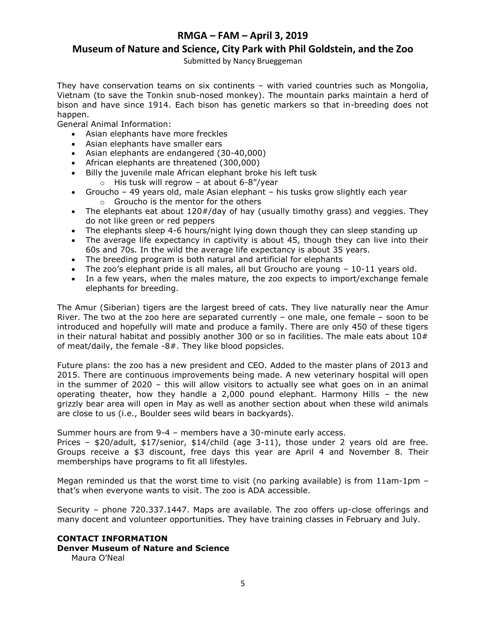## **RMGA – FAM – April 3, 2019 Museum of Nature and Science, City Park with Phil Goldstein, and the Zoo**

Submitted by Nancy Brueggeman

They have conservation teams on six continents – with varied countries such as Mongolia, Vietnam (to save the Tonkin snub-nosed monkey). The mountain parks maintain a herd of bison and have since 1914. Each bison has genetic markers so that in-breeding does not happen.

General Animal Information:

- Asian elephants have more freckles
- Asian elephants have smaller ears
- Asian elephants are endangered (30-40,000)
- African elephants are threatened (300,000)
- Billy the juvenile male African elephant broke his left tusk  $\circ$  His tusk will regrow – at about 6-8"/year
- Groucho 49 years old, male Asian elephant his tusks grow slightly each year o Groucho is the mentor for the others
- The elephants eat about 120#/day of hay (usually timothy grass) and veggies. They do not like green or red peppers
- The elephants sleep 4-6 hours/night lying down though they can sleep standing up
- The average life expectancy in captivity is about 45, though they can live into their 60s and 70s. In the wild the average life expectancy is about 35 years.
- The breeding program is both natural and artificial for elephants
- The zoo's elephant pride is all males, all but Groucho are young  $-10-11$  years old.
- In a few years, when the males mature, the zoo expects to import/exchange female elephants for breeding.

The Amur (Siberian) tigers are the largest breed of cats. They live naturally near the Amur River. The two at the zoo here are separated currently – one male, one female – soon to be introduced and hopefully will mate and produce a family. There are only 450 of these tigers in their natural habitat and possibly another 300 or so in facilities. The male eats about  $10#$ of meat/daily, the female -8#. They like blood popsicles.

Future plans: the zoo has a new president and CEO. Added to the master plans of 2013 and 2015. There are continuous improvements being made. A new veterinary hospital will open in the summer of 2020 – this will allow visitors to actually see what goes on in an animal operating theater, how they handle a 2,000 pound elephant. Harmony Hills – the new grizzly bear area will open in May as well as another section about when these wild animals are close to us (i.e., Boulder sees wild bears in backyards).

Summer hours are from 9-4 – members have a 30-minute early access.

Prices – \$20/adult, \$17/senior, \$14/child (age 3-11), those under 2 years old are free. Groups receive a \$3 discount, free days this year are April 4 and November 8. Their memberships have programs to fit all lifestyles.

Megan reminded us that the worst time to visit (no parking available) is from 11am-1pm – that's when everyone wants to visit. The zoo is ADA accessible.

Security – phone 720.337.1447. Maps are available. The zoo offers up-close offerings and many docent and volunteer opportunities. They have training classes in February and July.

#### **CONTACT INFORMATION Denver Museum of Nature and Science** Maura O'Neal